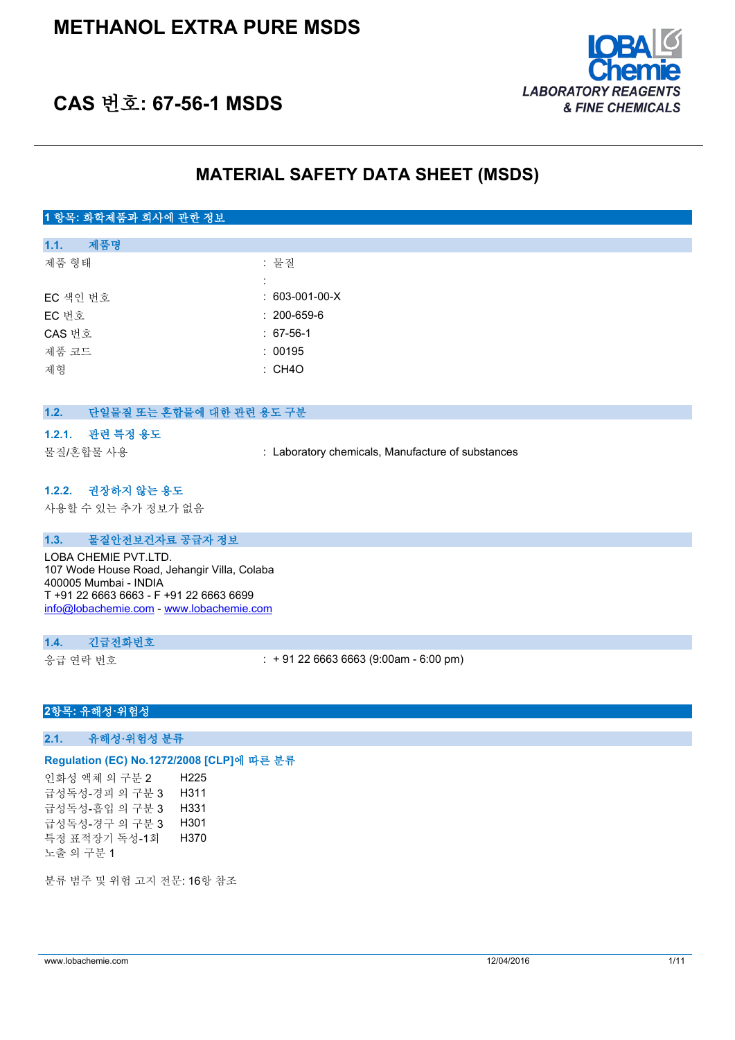

# **CAS 번호: 67-56-1 MSDS**

## **MATERIAL SAFETY DATA SHEET (MSDS)**

## **1 항목: 화학제품과 회사에 관한 정보**

| 1.1.     | 제품명 |                   |
|----------|-----|-------------------|
| 제품 형태    |     | : 물질              |
|          |     |                   |
| EC 색인 번호 |     | $: 603-001-00-X$  |
| EC 번호    |     | $: 200 - 659 - 6$ |
| CAS 번호   |     | $: 67-56-1$       |
| 제품 코드    |     | : 00195           |
| 제형       |     | : CH4O            |
|          |     |                   |

## **1.2. 단일물질 또는 혼합물에 대한 관련 용도 구분**

#### **1.2.1. 관련 특정 용도**

물질/혼합물 사용 : Laboratory chemicals, Manufacture of substances

#### **1.2.2. 권장하지 않는 용도**

사용할 수 있는 추가 정보가 없음

#### **1.3. 물질안전보건자료 공급자 정보**

LOBA CHEMIE PVT.LTD. 107 Wode House Road, Jehangir Villa, Colaba 400005 Mumbai - INDIA T +91 22 6663 6663 - F +91 22 6663 6699 [info@lobachemie.com](mailto:info@lobachemie.com) - <www.lobachemie.com>

#### **1.4. 긴급전화번호**

응급 연락 번호 : + 91 22 6663 6663 (9:00am - 6:00 pm)

#### **2항목: 유해성·위험성**

**2.1. 유해성·위험성 분류**

## **Regulation (EC) No.1272/2008 [CLP]에 따른 분류**

인화성 액체 의 구분 2 H225 급성독성-경피 의 구분 3 H311 급성독성-흡입 의 구분 3 H331 급성독성-경구 의 구분 3 H301 특정 표적장기 독성-1회 노출 의 구분 1 H370

분류 범주 및 위험 고지 전문: 16항 참조

www.lobachemie.com 12/04/2016 1/11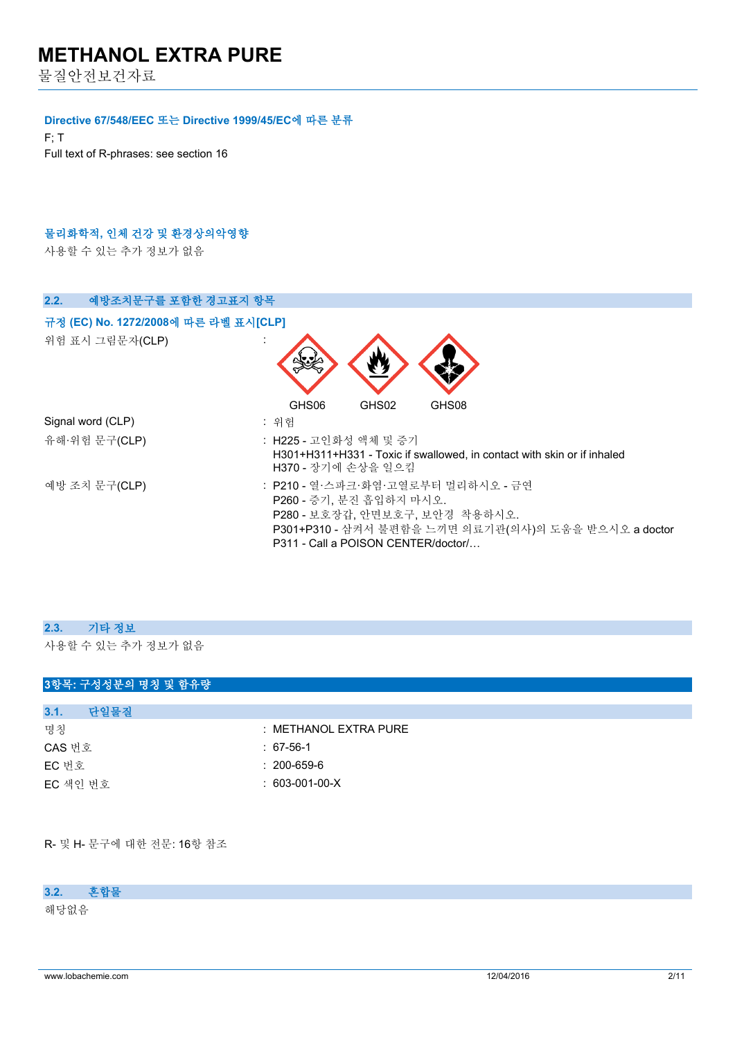물질안전보건자료

#### **Directive 67/548/EEC 또는 Directive 1999/45/EC에 따른 분류**

F; T Full text of R-phrases: see section 16

## **물리화학적, 인체 건강 및 환경상의악영향**

사용할 수 있는 추가 정보가 없음

| 예방조치문구를 포함한 경고표지 항목<br>2.2.          |                                                                                                                                                                                                |
|--------------------------------------|------------------------------------------------------------------------------------------------------------------------------------------------------------------------------------------------|
| 규정 (EC) No. 1272/2008에 따른 라벨 표시[CLP] |                                                                                                                                                                                                |
| 위험 표시 그림문자(CLP)                      |                                                                                                                                                                                                |
|                                      | GHS02<br>GHS08<br>GHS06                                                                                                                                                                        |
| Signal word (CLP)                    | : 위험                                                                                                                                                                                           |
| 유해·위험 문구(CLP)                        | : H225 - 고인화성 액체 및 증기<br>H301+H311+H331 - Toxic if swallowed, in contact with skin or if inhaled<br>H370 - 장기에 손상을 일으킴                                                                         |
| 예방 조치 문구(CLP)                        | : P210 - 열·스파크·화염·고열로부터 멀리하시오 - 금연<br>P260 - 증기, 분진 흡입하지 마시오.<br>P280 - 보호장갑, 안면보호구, 보안경 착용하시오.<br>P301+P310 - 삼켜서 불편함을 느끼면 의료기관(의사)의 도움을 받으시오 a doctor<br>P311 - Call a POISON CENTER/doctor/ |

| 2.3. 기타 정보         |
|--------------------|
| 사용할 수 있는 추가 정보가 없음 |

| 3항목: 구성성분의 명칭 및 함유량 |                       |
|---------------------|-----------------------|
|                     |                       |
| 단일물질<br>3.1.        |                       |
| 명칭                  | : METHANOL EXTRA PURE |
| CAS 번호              | $: 67-56-1$           |
| EC 번호               | $: 200 - 659 - 6$     |
| EC 색인 번호            | $: 603-001-00-X$      |
|                     |                       |

R- 및 H- 문구에 대한 전문: 16항 참조

### **3.2. 혼합물**

해당없음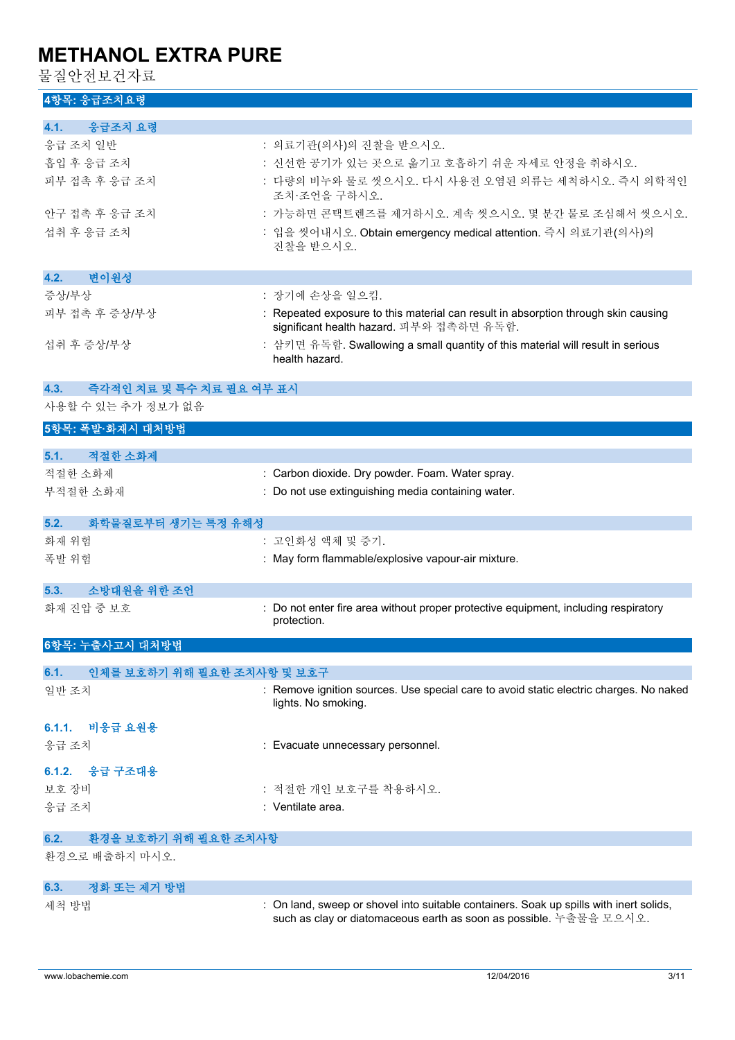물질안전보건자료

## **4항목: 응급조치요령**

| 48〒 Ծ日エ시エる                                     |                                                                                                                                |
|------------------------------------------------|--------------------------------------------------------------------------------------------------------------------------------|
| 응급조치 요령<br>4.1.                                |                                                                                                                                |
| 응급 조치 일반                                       | : 의료기관(의사)의 진찰을 받으시오.                                                                                                          |
| 흡입 후 응급 조치                                     | : 신선한 공기가 있는 곳으로 옮기고 호흡하기 쉬운 자세로 안정을 취하시오.                                                                                     |
| 피부 접촉 후 응급 조치                                  | : 다량의 비누와 물로 씻으시오. 다시 사용전 오염된 의류는 세척하시오. 즉시 의학적인<br>조치·조언을 구하시오.                                                               |
| 안구 접촉 후 응급 조치                                  | : 가능하면 콘택트렌즈를 제거하시오. 계속 씻으시오. 몇 분간 물로 조심해서 씻으시오.                                                                               |
| 섭취 후 응급 조치                                     | : 입을 씻어내시오. Obtain emergency medical attention. 즉시 의료기관(의사)의<br>진찰을 받으시오.                                                      |
| 변이원성<br>4.2.                                   |                                                                                                                                |
| 증상/부상                                          | : 장기에 손상을 일으킴.                                                                                                                 |
| 피부 접촉 후 증상/부상                                  | : Repeated exposure to this material can result in absorption through skin causing<br>significant health hazard. 피부와 접촉하면 유독함. |
| 섭취 후 증상/부상                                     | : 삼키면 유독함. Swallowing a small quantity of this material will result in serious<br>health hazard.                               |
| 4.3.<br>즉각적인 치료 및 특수 치료 필요 여부 표시               |                                                                                                                                |
| 사용할 수 있는 추가 정보가 없음                             |                                                                                                                                |
| 5항목: 폭발·화재시 대처방법                               |                                                                                                                                |
|                                                |                                                                                                                                |
| 적절한 소화제<br>5.1.                                |                                                                                                                                |
| 적절한 소화제                                        | : Carbon dioxide. Dry powder. Foam. Water spray.                                                                               |
| 부적절한 소화재                                       | : Do not use extinguishing media containing water.                                                                             |
| 5.2.<br>화학물질로부터 생기는 특정 유해성                     |                                                                                                                                |
| 화재 위험                                          | : 고인화성 액체 및 증기.                                                                                                                |
| 폭발 위험                                          | : May form flammable/explosive vapour-air mixture.                                                                             |
|                                                |                                                                                                                                |
| 소방대원을 위한 조언<br>5.3.<br>화재 진압 중 보호              | : Do not enter fire area without proper protective equipment, including respiratory                                            |
|                                                | protection.                                                                                                                    |
| 6항목: 누출사고시 대처방법                                |                                                                                                                                |
| 인체를 보호하기 위해 필요한 조치사항 및 보호구<br>6.1.             |                                                                                                                                |
| 일반 조치                                          | : Remove ignition sources. Use special care to avoid static electric charges. No naked<br>lights. No smoking.                  |
| 비응급 요원용<br>6.1.1.                              |                                                                                                                                |
| 응급 조치                                          | : Evacuate unnecessary personnel.                                                                                              |
|                                                |                                                                                                                                |
| 6.1.2. 응급 구조대용                                 |                                                                                                                                |
| 보호 장비                                          | : 적절한 개인 보호구를 착용하시오.                                                                                                           |
| 응급 조치                                          | : Ventilate area.                                                                                                              |
| 6.2.<br>환경을 보호하기 위해 필요한 조치사항<br>환경으로 배출하지 마시오. |                                                                                                                                |
|                                                |                                                                                                                                |
| 정화 또는 제거 방법<br>6.3.                            |                                                                                                                                |

세척 방법 : On land, sweep or shovel into suitable containers. Soak up spills with inert solids,

such as clay or diatomaceous earth as soon as possible. 누출물을 모으시오.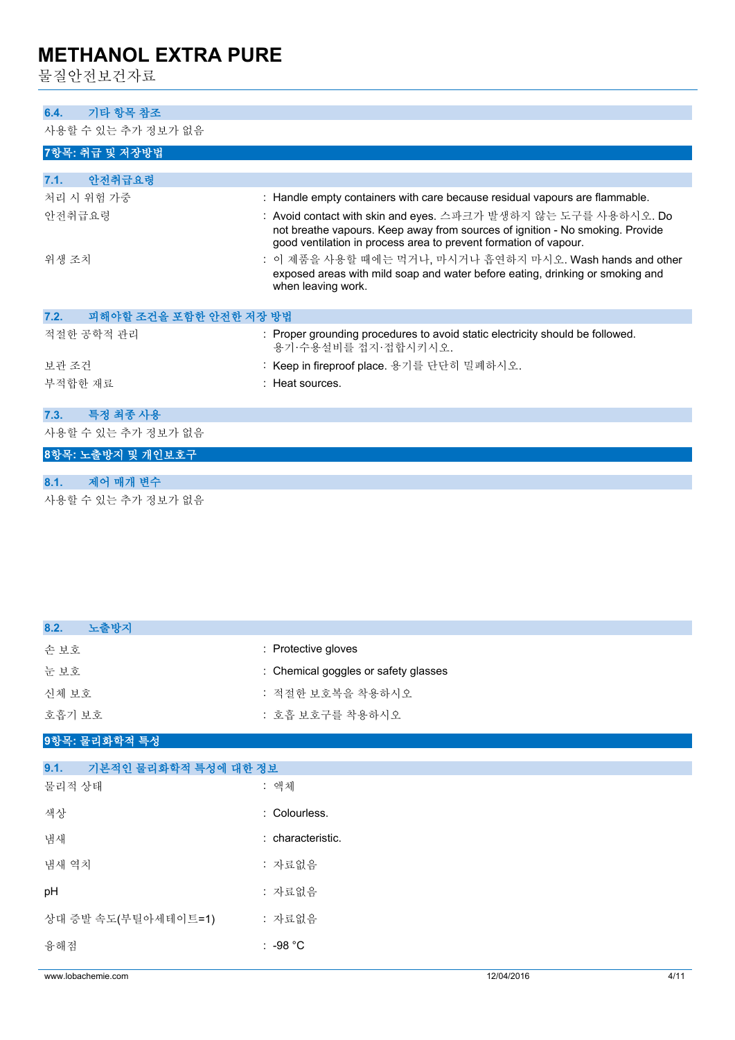물질안전보건자료

### **6.4. 기타 항목 참조**

사용할 수 있는 추가 정보가 없음

| <b>! U ㄷ ㅣ ㅆ ㄴ ㅣ´ㅣ U ㅡ ㅣ H^ L</b> |                                                                                                                                                                                                                     |
|-----------------------------------|---------------------------------------------------------------------------------------------------------------------------------------------------------------------------------------------------------------------|
| 7항목: 취급 및 저장방법                    |                                                                                                                                                                                                                     |
| 안전취급요령<br>7.1.                    |                                                                                                                                                                                                                     |
| 처리 시 위험 가중                        | : Handle empty containers with care because residual vapours are flammable.                                                                                                                                         |
| 안전취급요령                            | : Avoid contact with skin and eyes. 스파크가 발생하지 않는 도구를 사용하시오. Do<br>not breathe vapours. Keep away from sources of ignition - No smoking. Provide<br>good ventilation in process area to prevent formation of vapour. |
| 위생 조치                             | : 이 제품을 사용할 때에는 먹거나, 마시거나 흡연하지 마시오. Wash hands and other<br>exposed areas with mild soap and water before eating, drinking or smoking and<br>when leaving work.                                                     |
| 피해야할 조건을 포함한 안전한 저장 방법<br>7.2.    |                                                                                                                                                                                                                     |
| 적절한 공학적 관리                        | : Proper grounding procedures to avoid static electricity should be followed.<br>용기·수용설비를 접지·접합시키시오.                                                                                                                |
| 보관 조건                             | : Keep in fireproof place. 용기를 단단히 밀폐하시오.                                                                                                                                                                           |
| 부적합한 재료                           | : Heat sources.                                                                                                                                                                                                     |
| 7.3.<br>특정 최종 사용                  |                                                                                                                                                                                                                     |
| 사용할 수 있는 추가 정보가 없음                |                                                                                                                                                                                                                     |
| 8항목: 노출방지 및 개인보호구                 |                                                                                                                                                                                                                     |
| 제어 매개 변수<br>8.1.                  |                                                                                                                                                                                                                     |

사용할 수 있는 추가 정보가 없음

| 노출방지<br>8.2.                 |                                      |
|------------------------------|--------------------------------------|
| 손보호                          | : Protective gloves                  |
| 눈보호                          | : Chemical goggles or safety glasses |
| 신체 보호                        | : 적절한 보호복을 착용하시오                     |
| 호흡기 보호                       | : 호흡 보호구를 착용하시오                      |
| 9항목: 물리화학적 특성                |                                      |
| 기본적인 물리화학적 특성에 대한 정보<br>9.1. |                                      |
| 물리적 상태                       | : 액체                                 |
| 색상                           | : Colourless.                        |
| 냄새                           | : characteristic.                    |
| 냄새 역치                        | : 자료없음                               |
| pH                           | : 자료없음                               |
| 상대 증발 속도(부틸아세테이트=1)          | : 자료없음                               |
| 융해점                          | : $-98 °C$                           |
|                              |                                      |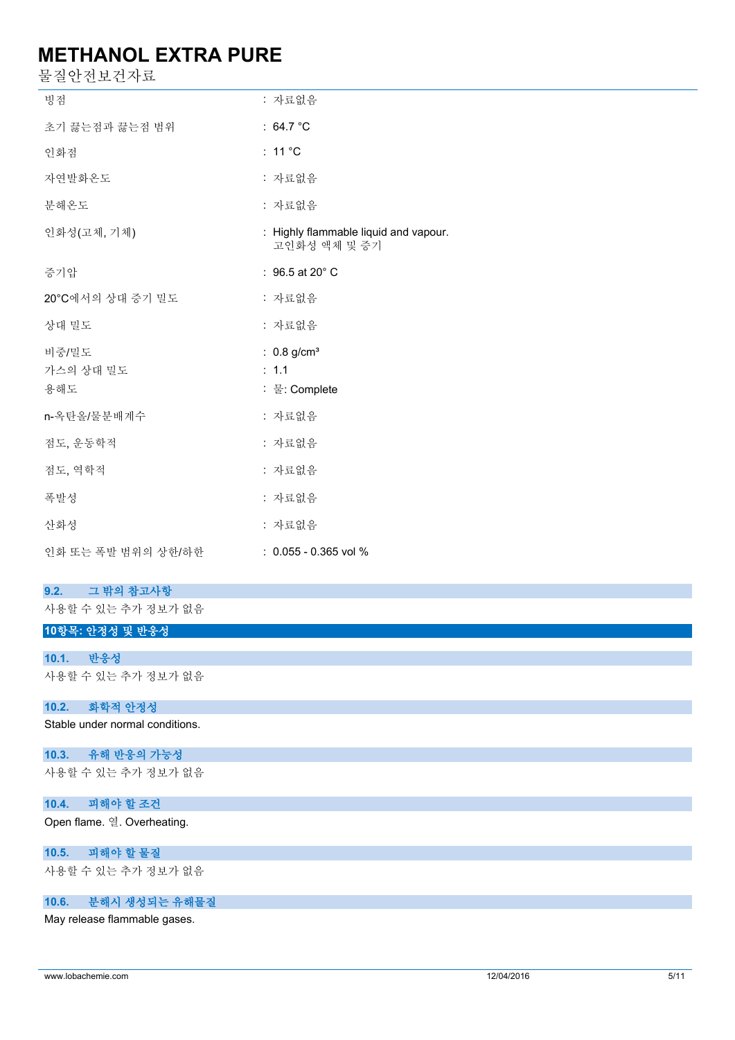물질안전보건자료

| ᆮ ㄷ ㄴ ㄴㅡ ㄴ ㅣㅡ      |                                                       |
|--------------------|-------------------------------------------------------|
| 빙점                 | : 자료없음                                                |
| 초기 끓는점과 끓는점 범위     | : $64.7 °C$                                           |
| 인화점                | : 11 $^{\circ}$ C                                     |
| 자연발화온도             | : 자료없음                                                |
| 분해온도               | : 자료없음                                                |
| 인화성(고체, 기체)        | : Highly flammable liquid and vapour.<br>고인화성 액체 및 증기 |
| 증기압                | : $96.5$ at 20 $^{\circ}$ C                           |
| 20°C에서의 상대 증기 밀도   | : 자료없음                                                |
| 상대 밀도              | : 자료없음                                                |
| 비중/밀도              | : $0.8$ g/cm <sup>3</sup>                             |
| 가스의 상대 밀도<br>용해도   | : 1.1<br>: 물: Complete                                |
|                    |                                                       |
| n-옥탄올/물분배계수        | : 자료없음                                                |
| 점도, 운동학적           | : 자료없음                                                |
| 점도, 역학적            | : 자료없음                                                |
| 폭발성                | : 자료없음                                                |
| 산화성                | : 자료없음                                                |
| 인화 또는 폭발 범위의 상한/하한 | $: 0.055 - 0.365$ vol %                               |
|                    |                                                       |

#### **9.2. 그 밖의 참고사항**

사용할 수 있는 추가 정보가 없음

## **10항목: 안정성 및 반응성**

#### **10.1. 반응성**

사용할 수 있는 추가 정보가 없음

#### **10.2. 화학적 안정성**

Stable under normal conditions.

#### **10.3. 유해 반응의 가능성**

사용할 수 있는 추가 정보가 없음

### **10.4. 피해야 할 조건**

Open flame. 열. Overheating.

#### **10.5. 피해야 할 물질**

사용할 수 있는 추가 정보가 없음

### **10.6. 분해시 생성되는 유해물질**

May release flammable gases.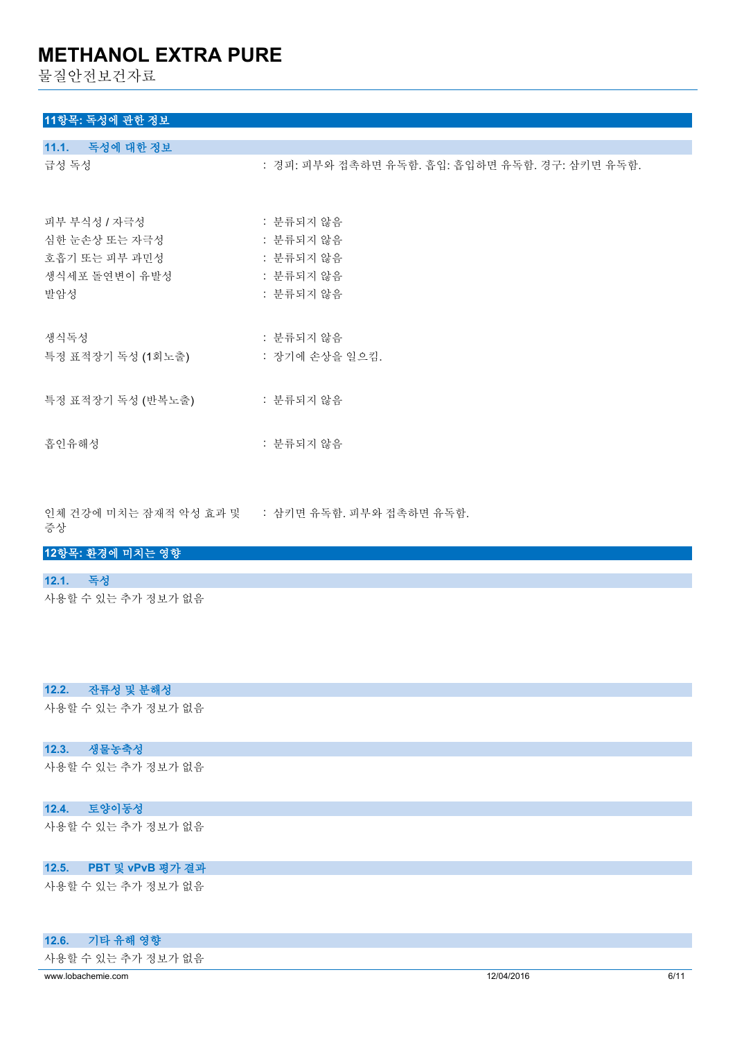물질안전보건자료

## **11항목: 독성에 관한 정보**

| 11.1. 독성에 대한 정보   |                                                |
|-------------------|------------------------------------------------|
| 급성 독성             | : 경피: 피부와 접촉하면 유독함. 흡입: 흡입하면 유독함. 경구: 삼키면 유독함. |
| 피부 부식성 / 자극성      | : 분류되지 않음                                      |
| 심한 눈손상 또는 자극성     | : 분류되지 않음                                      |
| 호흡기 또는 피부 과민성     | : 분류되지 않음                                      |
| 생식세포 돌연변이 유발성     | : 분류되지 않음                                      |
| 발암성               | : 분류되지 않음                                      |
| 생식독성              | : 분류되지 않음                                      |
| 특정 표적장기 독성 (1회노출) | : 장기에 손상을 일으킴.                                 |
| 특정 표적장기 독성 (반복노출) | : 분류되지 않음                                      |
| 흡인유해성             | : 분류되지 않음                                      |

인체 건강에 미치는 잠재적 악성 효과 및 : 삼키면 유독함. 피부와 접촉하면 유독함.

증상

#### **12항목: 환경에 미치는 영향**

#### **12.1. 독성**

사용할 수 있는 추가 정보가 없음

#### **12.2. 잔류성 및 분해성**

사용할 수 있는 추가 정보가 없음

#### **12.3. 생물농축성**

사용할 수 있는 추가 정보가 없음

#### **12.4. 토양이동성**

사용할 수 있는 추가 정보가 없음

## **12.5. PBT 및 vPvB 평가 결과**

사용할 수 있는 추가 정보가 없음

#### **12.6. 기타 유해 영향**

사용할 수 있는 추가 정보가 없음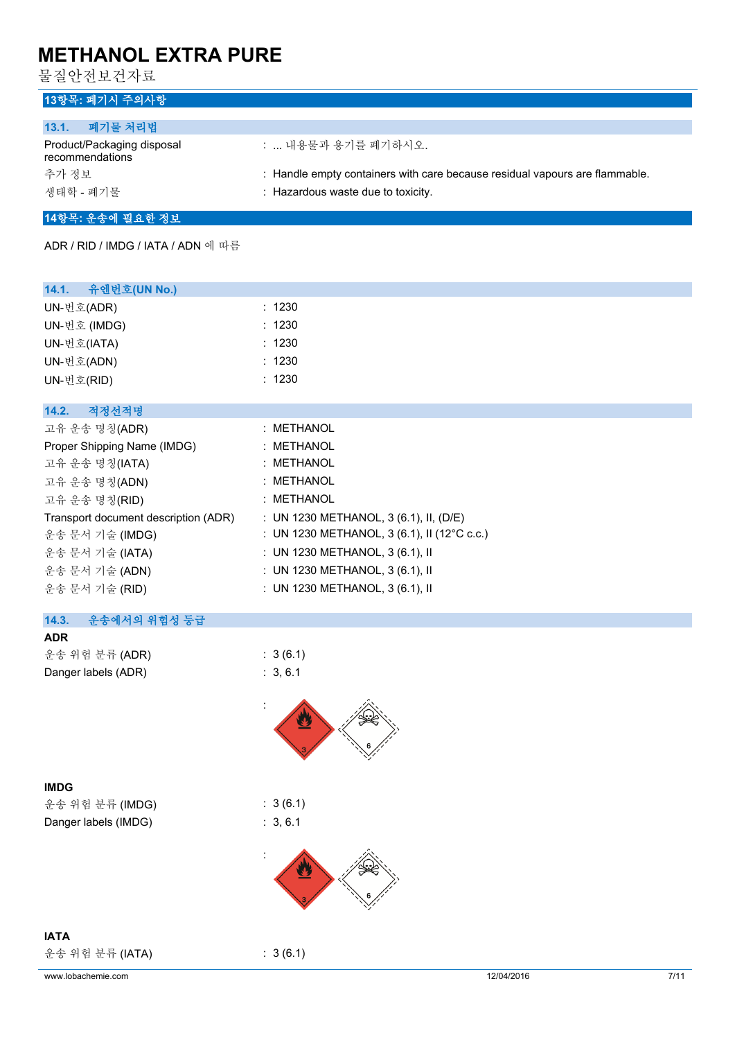물질안전보건자료

## **13항목: 폐기시 주의사항**

| 폐기물 처리법<br>13.1.                              |                                                                             |
|-----------------------------------------------|-----------------------------------------------------------------------------|
| Product/Packaging disposal<br>recommendations | :  내용물과 용기를 폐기하시오.                                                          |
| 추가 정보                                         | : Handle empty containers with care because residual vapours are flammable. |
| 생태학 - 폐기물                                     | : Hazardous waste due to toxicity.                                          |

#### **14항목: 운송에 필요한 정보**

ADR / RID / IMDG / IATA / ADN 에 따름

| 14.1.<br>유엔번호(UN No.)                |                                             |
|--------------------------------------|---------------------------------------------|
| UN-번호(ADR)                           | : 1230                                      |
| UN-번호 (IMDG)                         | : 1230                                      |
| UN-번호(IATA)                          | : 1230                                      |
| UN-번호(ADN)                           | : 1230                                      |
| UN-번호(RID)                           | : 1230                                      |
|                                      |                                             |
| 14.2.<br>적정선적명                       |                                             |
| 고유 운송 명칭(ADR)                        | : METHANOL                                  |
| Proper Shipping Name (IMDG)          | : METHANOL                                  |
| 고유 운송 명칭(IATA)                       | : METHANOL                                  |
| 고유 운송 명칭(ADN)                        | : METHANOL                                  |
| 고유 운송 명칭(RID)                        | : METHANOL                                  |
| Transport document description (ADR) | : UN 1230 METHANOL, 3 (6.1), II, (D/E)      |
| 운송 문서 기술 (IMDG)                      | : UN 1230 METHANOL, 3 (6.1), II (12°C c.c.) |
| 운송 문서 기술 (IATA)                      | : UN 1230 METHANOL, 3 (6.1), II             |
| 운송 문서 기술 (ADN)                       | : UN 1230 METHANOL, $3(6.1)$ , II           |
| 운송 문서 기술 (RID)                       | : UN 1230 METHANOL, $3(6.1)$ , II           |
|                                      |                                             |

### **14.3. 운송에서의 위험성 등급**

**ADR** 운송 위험 분류 (ADR) : 3 (6.1) Danger labels (ADR) : 3, 6.1



#### **IMDG**

운송 위험 분류 (IMDG) : 3 (6.1) Danger labels (IMDG) : 3, 6.1



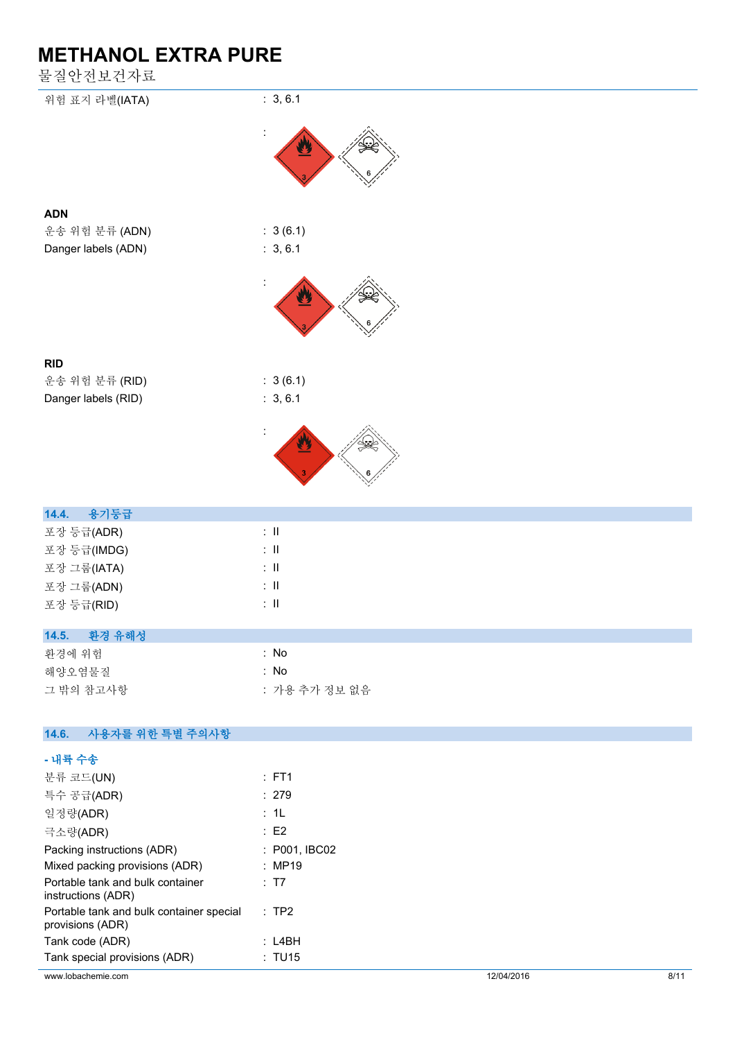물질안전보건자료

| 눌질안전보건자료                 |                           |
|--------------------------|---------------------------|
| 위험 표지 라벨(IATA)           | : 3, 6.1                  |
|                          | $\ddot{\phantom{a}}$      |
| <b>ADN</b>               |                           |
| 운송 위험 분류 (ADN)           | : 3(6.1)                  |
| Danger labels (ADN)      | : 3, 6.1                  |
|                          |                           |
|                          |                           |
| <b>RID</b>               |                           |
| 운송 위험 분류 (RID)           | : 3(6.1)                  |
| Danger labels (RID)      | : 3, 6.1                  |
|                          |                           |
|                          |                           |
| 용기등급<br>14.4.            |                           |
| 포장 등급(ADR)               | $\div$ II                 |
| 포장 등급(IMDG)              | $\colon \, \mathrm{I\!I}$ |
| 포장 그룹(IATA)              | $\div$ II                 |
| 포장 그룹(ADN)               | $\lesssim 11$             |
| 포장 등급(RID)               | $\colon \, \mathrm{I\!I}$ |
| 14.5. 환경 유해성             |                           |
| 환경에 위험                   | $:$ No                    |
| 해양오염물질                   | $:$ No                    |
| 그 밖의 참고사항                | : 가용 추가 정보 없음             |
| 사용자를 위한 특별 주의사항<br>14.6. |                           |
| - 내륙 수송                  |                           |
| 분류 코드(UN)                | : FT1                     |

| www.lobachemie.com                                           |                  | 12/04/2016 | 8/11 |
|--------------------------------------------------------------|------------------|------------|------|
| Tank special provisions (ADR)                                | : TU15           |            |      |
| Tank code (ADR)                                              | : L4BH           |            |      |
| Portable tank and bulk container special<br>provisions (ADR) | $\therefore$ TP2 |            |      |
| Portable tank and bulk container<br>instructions (ADR)       | : T7             |            |      |
| Mixed packing provisions (ADR)                               | : MP19           |            |      |
| Packing instructions (ADR)                                   | : P001, IBCO2    |            |      |
| 극소량(ADR)                                                     | $\therefore$ E2  |            |      |
| 일정량(ADR)                                                     | : 1L             |            |      |
| 특수 공급(ADR)                                                   | : 279            |            |      |
| 분류 코드(UN)                                                    | $:$ FT1          |            |      |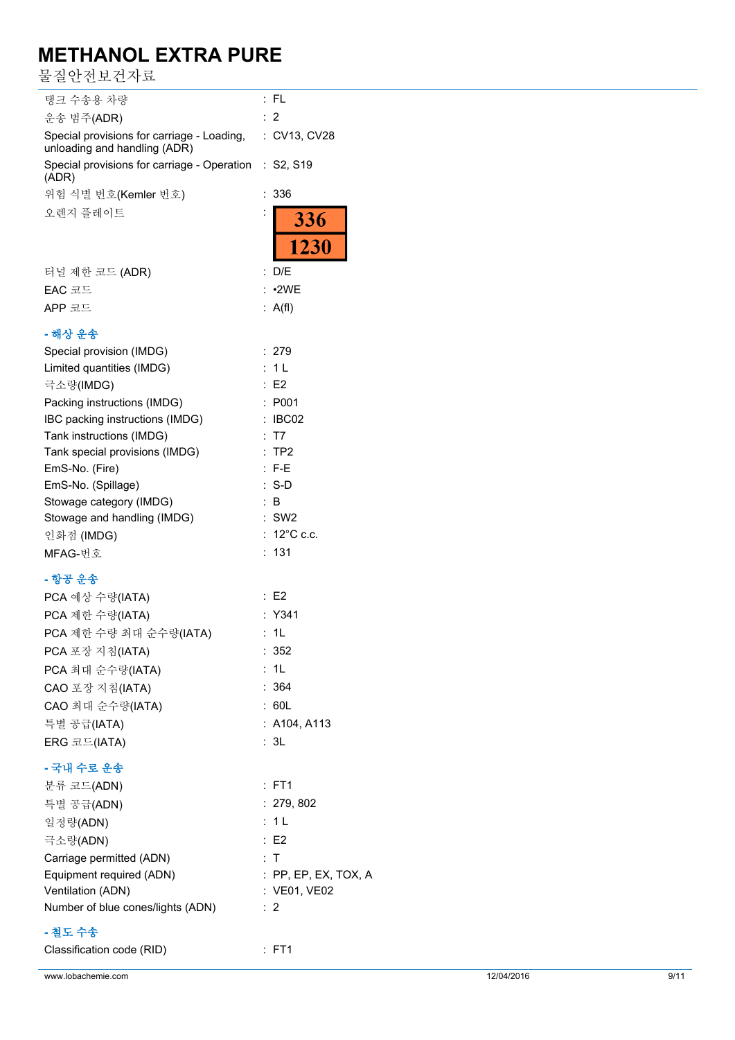물질안전보건자료

| 탱크 수송용 차량                                                                               | :FL                       |
|-----------------------------------------------------------------------------------------|---------------------------|
| 운송 범주(ADR)                                                                              | : 2                       |
| Special provisions for carriage - Loading, : CV13, CV28<br>unloading and handling (ADR) |                           |
| Special provisions for carriage - Operation : S2, S19<br>(ADR)                          |                           |
| 위험 식별 번호(Kemler 번호)                                                                     | 336                       |
| 오렌지 플레이트                                                                                |                           |
|                                                                                         | <b>336</b><br>1230        |
| 터널 제한 코드 (ADR)                                                                          | : D/E                     |
| EAC 코드                                                                                  | : 2WE                     |
| APP 코드                                                                                  | : A(f)                    |
|                                                                                         |                           |
| - 해상 운송                                                                                 |                           |
| Special provision (IMDG)                                                                | : 279                     |
| Limited quantities (IMDG)                                                               | : 1 L                     |
| 극소량(IMDG)                                                                               | : E2                      |
| Packing instructions (IMDG)                                                             | : P001                    |
| IBC packing instructions (IMDG)                                                         | : IBCO2                   |
| Tank instructions (IMDG)                                                                | : T7                      |
| Tank special provisions (IMDG)                                                          | TP2                       |
| EmS-No. (Fire)                                                                          | $: F-E$                   |
| EmS-No. (Spillage)                                                                      | $: S-D$                   |
| Stowage category (IMDG)<br>Stowage and handling (IMDG)                                  | $\therefore$ B<br>$:$ SW2 |
| 인화점 (IMDG)                                                                              | : 12°C c.c.               |
| MFAG-번호                                                                                 | 131<br>÷.                 |
|                                                                                         |                           |
| - 항공 운송                                                                                 |                           |
| PCA 예상 수량(IATA)                                                                         | : E2                      |
| PCA 제한 수량(IATA)                                                                         | $:$ Y341                  |
| PCA 제한 수량 최대 순수량(IATA)                                                                  | : 1L                      |
| PCA 포장 지침(IATA)                                                                         | : 352                     |
| PCA 최대 순수량(IATA)                                                                        | : 1L                      |
| CAO 포장 지침(IATA)                                                                         | : 364                     |
| CAO 최대 순수량(IATA)                                                                        | : 60L                     |
| 특별 공급(IATA)                                                                             | : A104, A113              |
| ERG 코드(IATA)                                                                            | : 3L                      |
| - 국내 수로 운송                                                                              |                           |
|                                                                                         |                           |
| 분류 코드(ADN)                                                                              | $:$ FT1                   |
| 특별 공급(ADN)                                                                              | : 279, 802                |
| 일정량(ADN)                                                                                | : 1L                      |
| 극소량(ADN)                                                                                | : E2                      |
| Carriage permitted (ADN)                                                                | : T                       |
| Equipment required (ADN)                                                                | $:$ PP, EP, EX, TOX, A    |
| Ventilation (ADN)                                                                       | : VE01, VE02              |
| Number of blue cones/lights (ADN)                                                       | :2                        |
| - 철도 수송                                                                                 |                           |
| Classification code (RID)                                                               | $:$ FT1                   |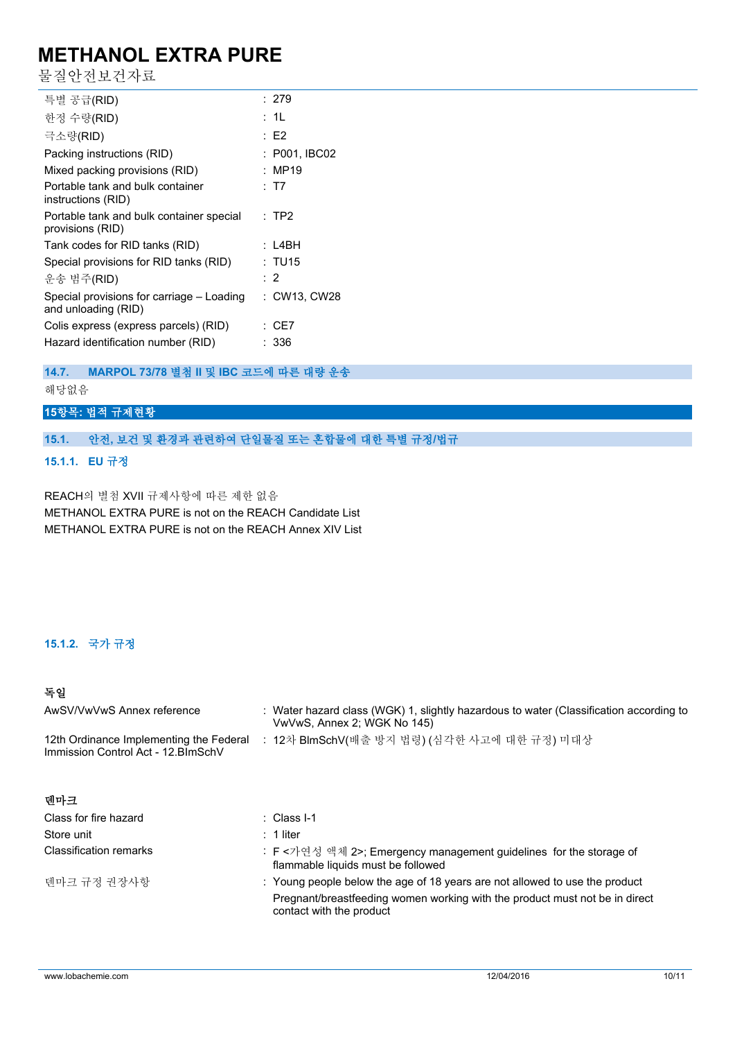물질안전보건자료

| 특별 공급(RID)                                                       | : 279          |
|------------------------------------------------------------------|----------------|
| 한정 수량(RID)                                                       | : 1L           |
| 극소량(RID)                                                         | : E2           |
| Packing instructions (RID)                                       | : P001, IBC02  |
| Mixed packing provisions (RID)                                   | : MP19         |
| Portable tank and bulk container<br>instructions (RID)           | : T7           |
| Portable tank and bulk container special<br>provisions (RID)     | $:$ TP2        |
| Tank codes for RID tanks (RID)                                   | : L4BH         |
| Special provisions for RID tanks (RID)                           | : TU15         |
| 운송 범주(RID)                                                       | $\therefore$ 2 |
| Special provisions for carriage – Loading<br>and unloading (RID) | : CW13, CW28   |
| Colis express (express parcels) (RID)                            | : CE7          |
| Hazard identification number (RID)                               | : 336          |
|                                                                  |                |

## **14.7. MARPOL 73/78 별첨 II 및 IBC 코드에 따른 대량 운송**

해당없음

## **15항목: 법적 규제현황**

### **15.1. 안전, 보건 및 환경과 관련하여 단일물질 또는 혼합물에 대한 특별 규정/법규**

**15.1.1. EU 규정**

REACH의 별첨 XVII 규제사항에 따른 제한 없음 METHANOL EXTRA PURE is not on the REACH Candidate List METHANOL EXTRA PURE is not on the REACH Annex XIV List

### **15.1.2. 국가 규정**

## **독일**

| AwSV/VwVwS Annex reference                                                     | : Water hazard class (WGK) 1, slightly hazardous to water (Classification according to<br>VwVwS, Annex 2; WGK No 145)                                                                  |
|--------------------------------------------------------------------------------|----------------------------------------------------------------------------------------------------------------------------------------------------------------------------------------|
| 12th Ordinance Implementing the Federal<br>Immission Control Act - 12. BlmSchV | : 12차 BlmSchV(배출 방지 법령) (심각한 사고에 대한 규정) 미대상                                                                                                                                            |
| 덴마크                                                                            |                                                                                                                                                                                        |
| Class for fire hazard                                                          | $\therefore$ Class I-1                                                                                                                                                                 |
| Store unit                                                                     | $: 1$ liter                                                                                                                                                                            |
| <b>Classification remarks</b>                                                  | : F <가연성 액체 2>; Emergency management guidelines for the storage of<br>flammable liquids must be followed                                                                               |
| 덴마크 규정 권장사항                                                                    | : Young people below the age of 18 years are not allowed to use the product<br>Pregnant/breastfeeding women working with the product must not be in direct<br>contact with the product |